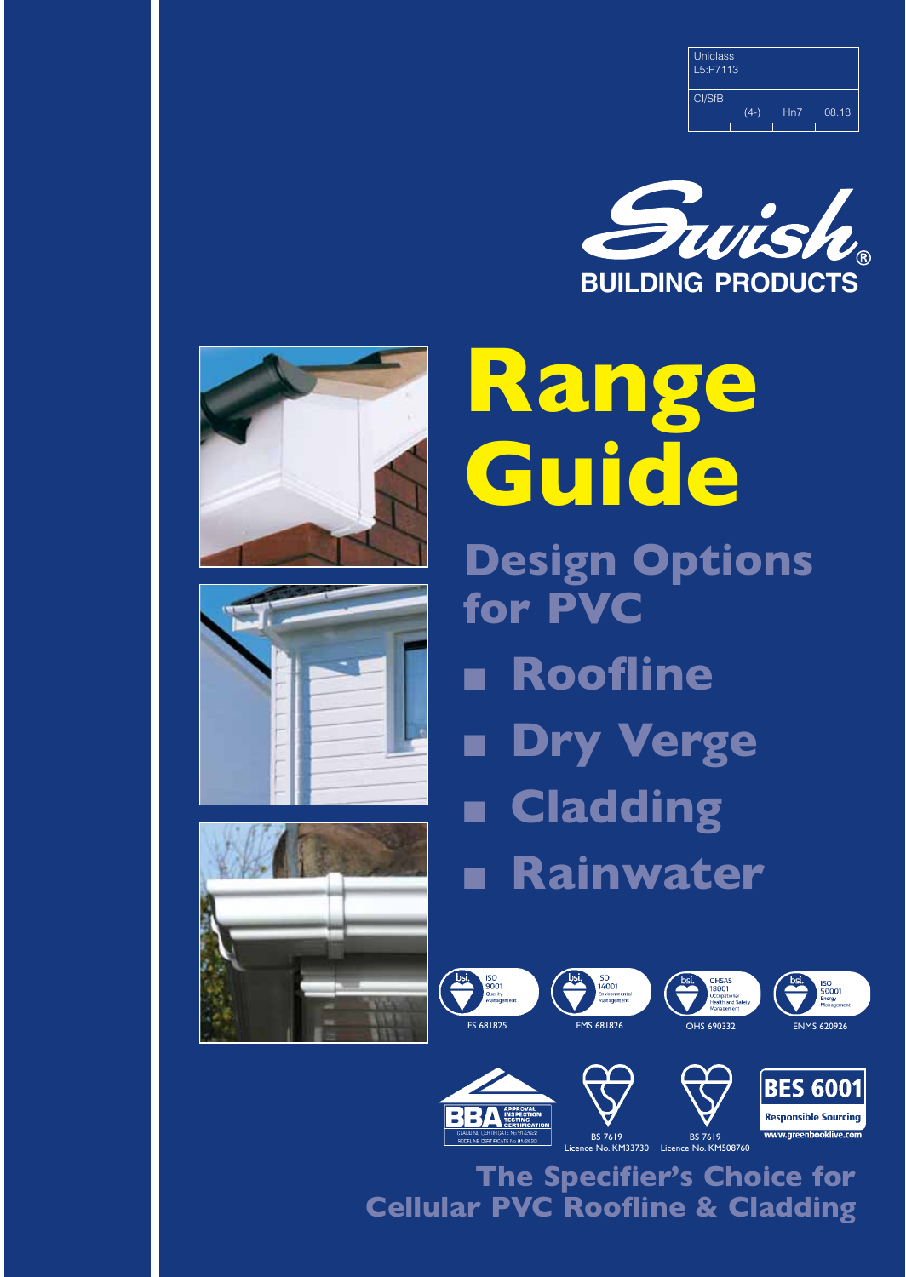| <b>Uniclass</b><br>L5: P7113 |        |     |       |
|------------------------------|--------|-----|-------|
| CI/SfB                       | $(4-)$ | Hn7 | 08.18 |









**Range Guide Design Options for PVC**  ■ **Roofline Dry Verge** ■ **Cladding** ■ **Rainwater** 

















BS 7619 Licence No. KM508760 133730

**The Specifier's Choice for Cellular PVC Roofline & Cladding**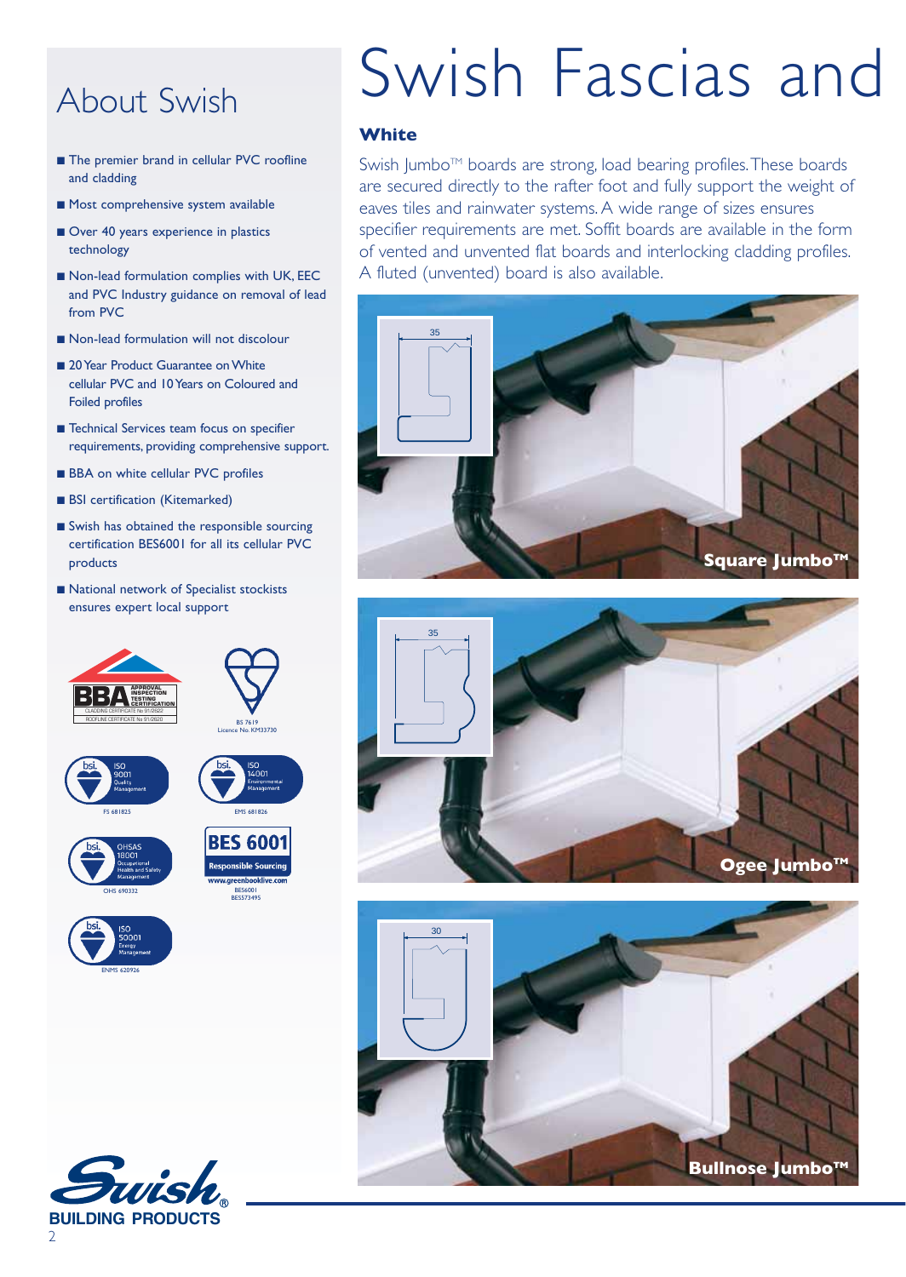## About Swish

- The premier brand in cellular PVC roofline and cladding
- Most comprehensive system available
- Over 40 years experience in plastics technology
- Non-lead formulation complies with UK, EEC and PVC Industry guidance on removal of lead from PVC
- Non-lead formulation will not discolour
- 20 Year Product Guarantee on White cellular PVC and 10 Years on Coloured and Foiled profiles
- Technical Services team focus on specifier requirements, providing comprehensive support.
- BBA on white cellular PVC profiles
- BSI certification (Kitemarked)
- Swish has obtained the responsible sourcing certification BES6001 for all its cellular PVC products
- National network of Specialist stockists ensures expert local support



## Swish Fascias and

#### **White**

Swish Jumbo™ boards are strong, load bearing profiles. These boards are secured directly to the rafter foot and fully support the weight of eaves tiles and rainwater systems. A wide range of sizes ensures specifier requirements are met. Soffit boards are available in the form of vented and unvented flat boards and interlocking cladding profiles. A fluted (unvented) board is also available.







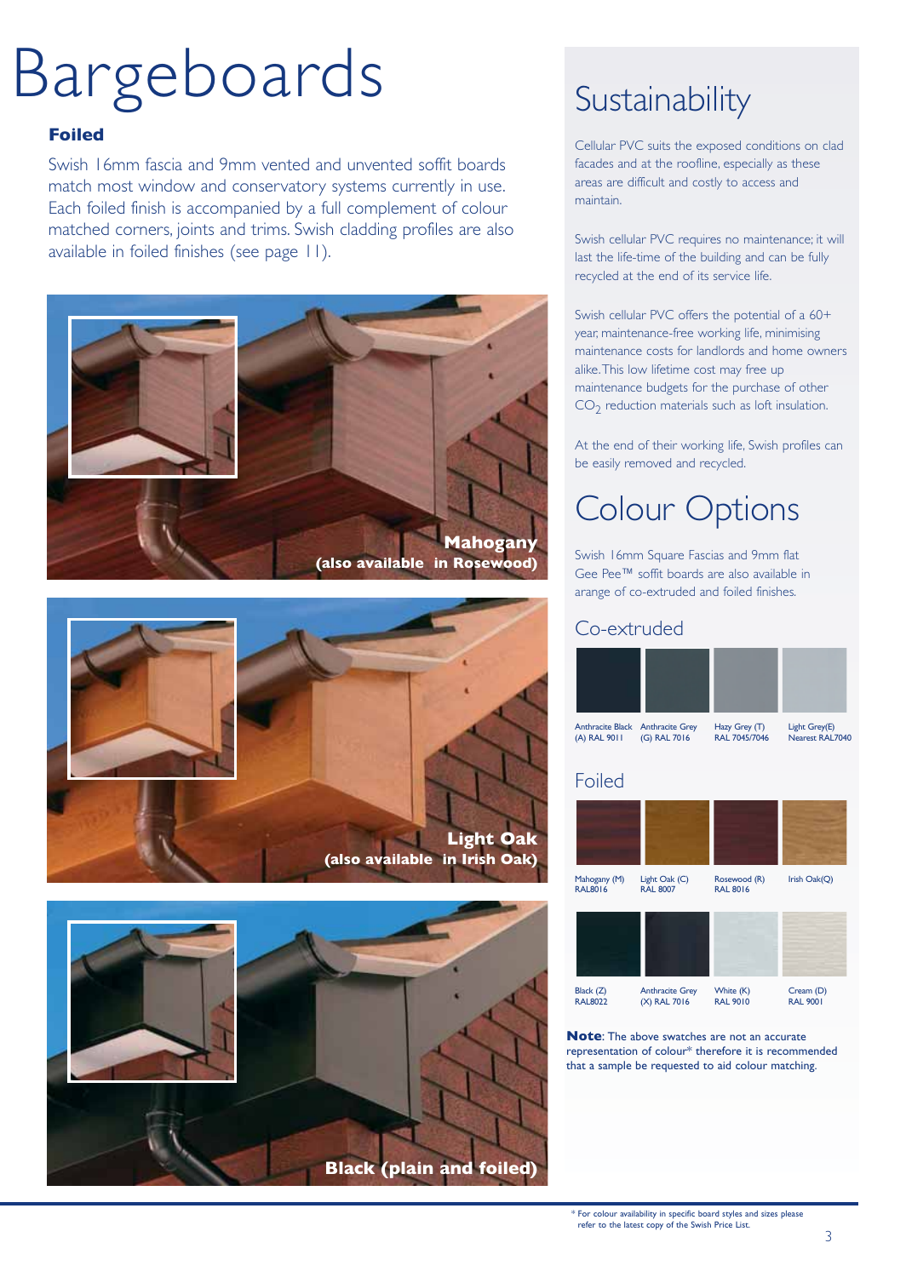## Bargeboards

#### **Foiled**

Swish 16mm fascia and 9mm vented and unvented soffit boards match most window and conservatory systems currently in use. Each foiled finish is accompanied by a full complement of colour matched corners, joints and trims. Swish cladding profiles are also available in foiled finishes (see page 11).







## **Sustainability**

Cellular PVC suits the exposed conditions on clad facades and at the roofline, especially as these areas are difficult and costly to access and maintain.

Swish cellular PVC requires no maintenance; it will last the life-time of the building and can be fully recycled at the end of its service life.

Swish cellular PVC offers the potential of a 60+ year, maintenance-free working life, minimising maintenance costs for landlords and home owners alike. This low lifetime cost may free up maintenance budgets for the purchase of other  $CO<sub>2</sub>$  reduction materials such as loft insulation.

At the end of their working life, Swish profiles can be easily removed and recycled.

## Colour Options

Swish 16mm Square Fascias and 9mm flat Gee Pee™ soffit boards are also available in arange of co-extruded and foiled finishes.

## Co-extruded





**Note**: The above swatches are not an accurate representation of colour\* therefore it is recommended that a sample be requested to aid colour matching.

\* For colour availability in specific board styles and sizes please refer to the latest copy of the Swish Price List.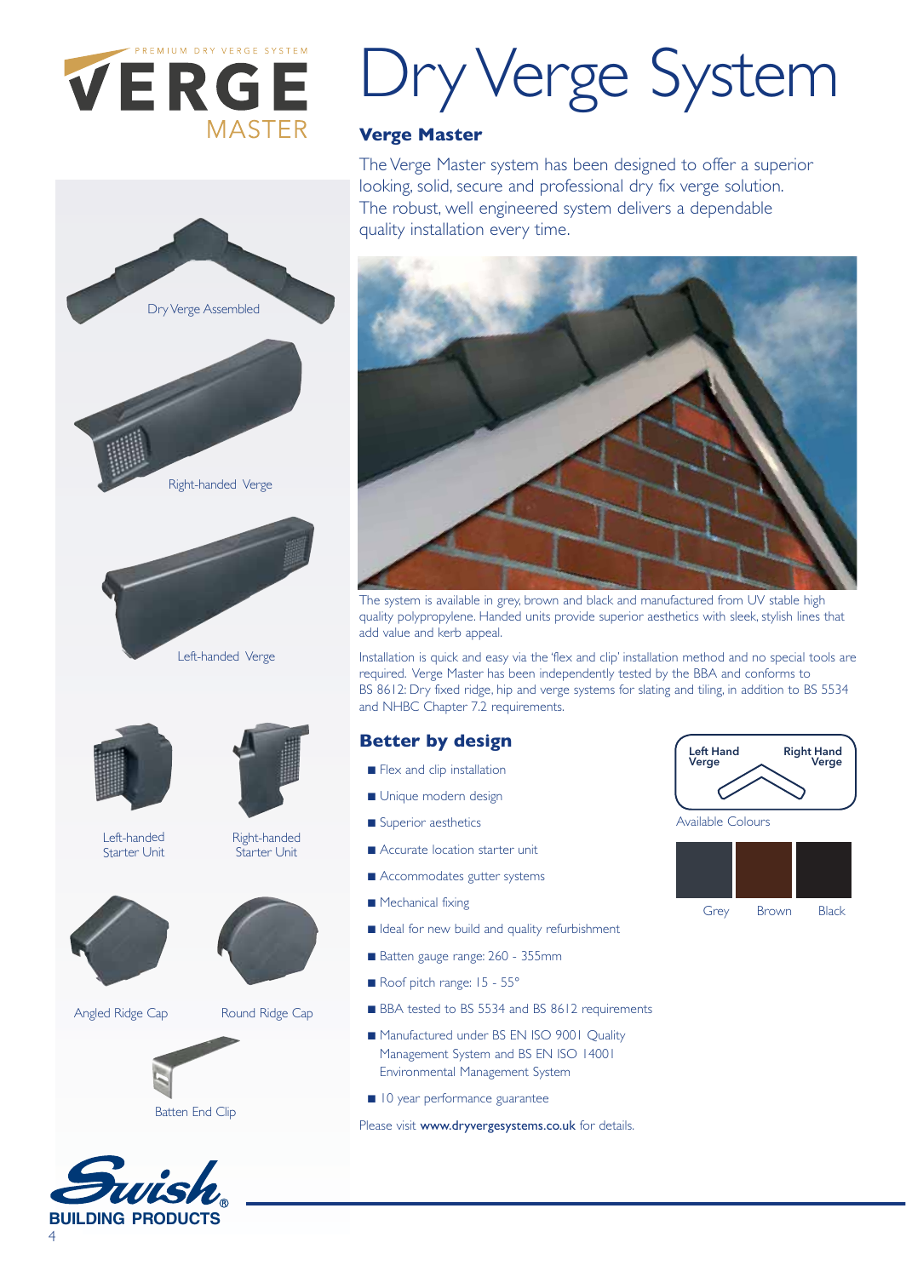

Dry Verge Assembled

Right-handed Verge

Left-handed Verge



#### **Verge Master**

The Verge Master system has been designed to offer a superior looking, solid, secure and professional dry fix verge solution. The robust, well engineered system delivers a dependable quality installation every time.



The system is available in grey, brown and black and manufactured from UV stable high quality polypropylene. Handed units provide superior aesthetics with sleek, stylish lines that add value and kerb appeal.

Installation is quick and easy via the 'flex and clip' installation method and no special tools are required. Verge Master has been independently tested by the BBA and conforms to BS 8612: Dry fixed ridge, hip and verge systems for slating and tiling, in addition to BS 5534 and NHBC Chapter 7.2 requirements.

### **Better by design**

- Flex and clip installation
- Unique modern design
- Superior aesthetics
- Accurate location starter unit
- Accommodates gutter systems
- Mechanical fixing
- Ideal for new build and quality refurbishment
- Batten gauge range: 260 355mm
- Roof pitch range: 15 55°
- BBA tested to BS 5534 and BS 8612 requirements
- Manufactured under BS EN ISO 9001 Quality Management System and BS EN ISO 14001 Environmental Management System
- 10 year performance guarantee

Please visit www.dryvergesystems.co.uk for details.



Available Colours





Left-handed Starter Unit



Right-handed Starter Unit

Angled Ridge Cap Round Ridge Cap



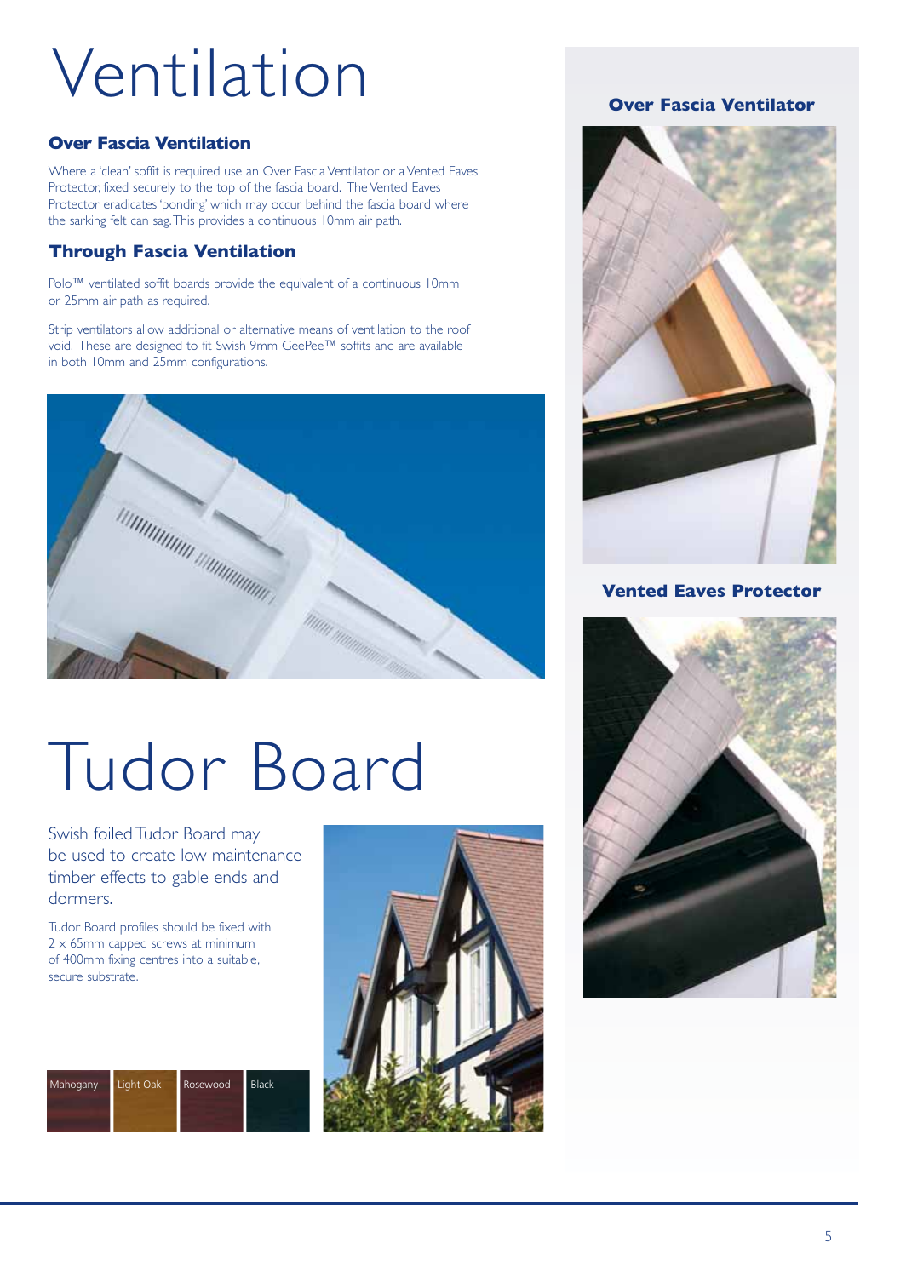## Ventilation

### **Over Fascia Ventilation**

Where a 'clean' soffit is required use an Over Fascia Ventilator or a Vented Eaves Protector, fixed securely to the top of the fascia board. The Vented Eaves Protector eradicates 'ponding' which may occur behind the fascia board where the sarking felt can sag. This provides a continuous 10mm air path.

## **Through Fascia Ventilation**

Polo™ ventilated soffit boards provide the equivalent of a continuous 10mm or 25mm air path as required.

Strip ventilators allow additional or alternative means of ventilation to the roof void. These are designed to fit Swish 9mm GeePee™ soffits and are available in both 10mm and 25mm configurations.



## Tudor Board

Swish foiled Tudor Board may be used to create low maintenance timber effects to gable ends and dormers.

Tudor Board profiles should be fixed with 2 x 65mm capped screws at minimum of 400mm fixing centres into a suitable, secure substrate.





## **Over Fascia Ventilator**



### **Vented Eaves Protector**

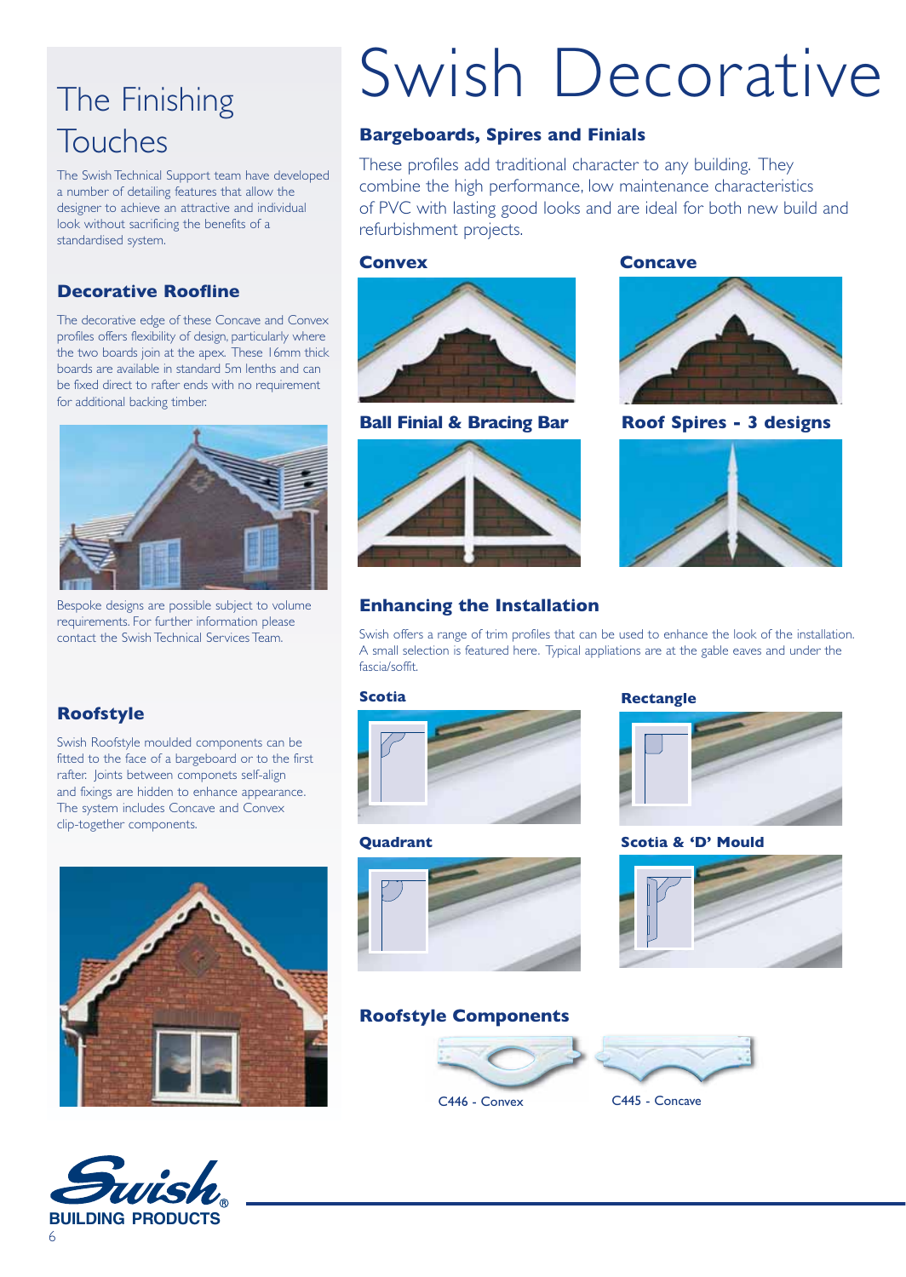## The Finishing Touches

The Swish Technical Support team have developed a number of detailing features that allow the designer to achieve an attractive and individual look without sacrificing the benefits of a standardised system.

## **Decorative Roofline**

The decorative edge of these Concave and Convex profiles offers flexibility of design, particularly where the two boards join at the apex. These 16mm thick boards are available in standard 5m lenths and can be fixed direct to rafter ends with no requirement for additional backing timber.



Bespoke designs are possible subject to volume requirements. For further information please contact the Swish Technical Services Team.

## **Roofstyle**

Swish Roofstyle moulded components can be fitted to the face of a bargeboard or to the first rafter. Joints between componets self-align and fixings are hidden to enhance appearance. The system includes Concave and Convex clip-together components.





## Swish Decorative

#### **Bargeboards, Spires and Finials**

These profiles add traditional character to any building. They combine the high performance, low maintenance characteristics of PVC with lasting good looks and are ideal for both new build and refurbishment projects.

#### **Convex Concave**



**Ball Finial & Bracing Bar**



## **Enhancing the Installation**

**Roof Spires - 3 designs**



Swish offers a range of trim profiles that can be used to enhance the look of the installation. A small selection is featured here. Typical appliations are at the gable eaves and under the fascia/soffit.

**Quadrant**



#### **Scotia Rectangle**



**Scotia & 'D' Mould**



#### **Roofstyle Components**



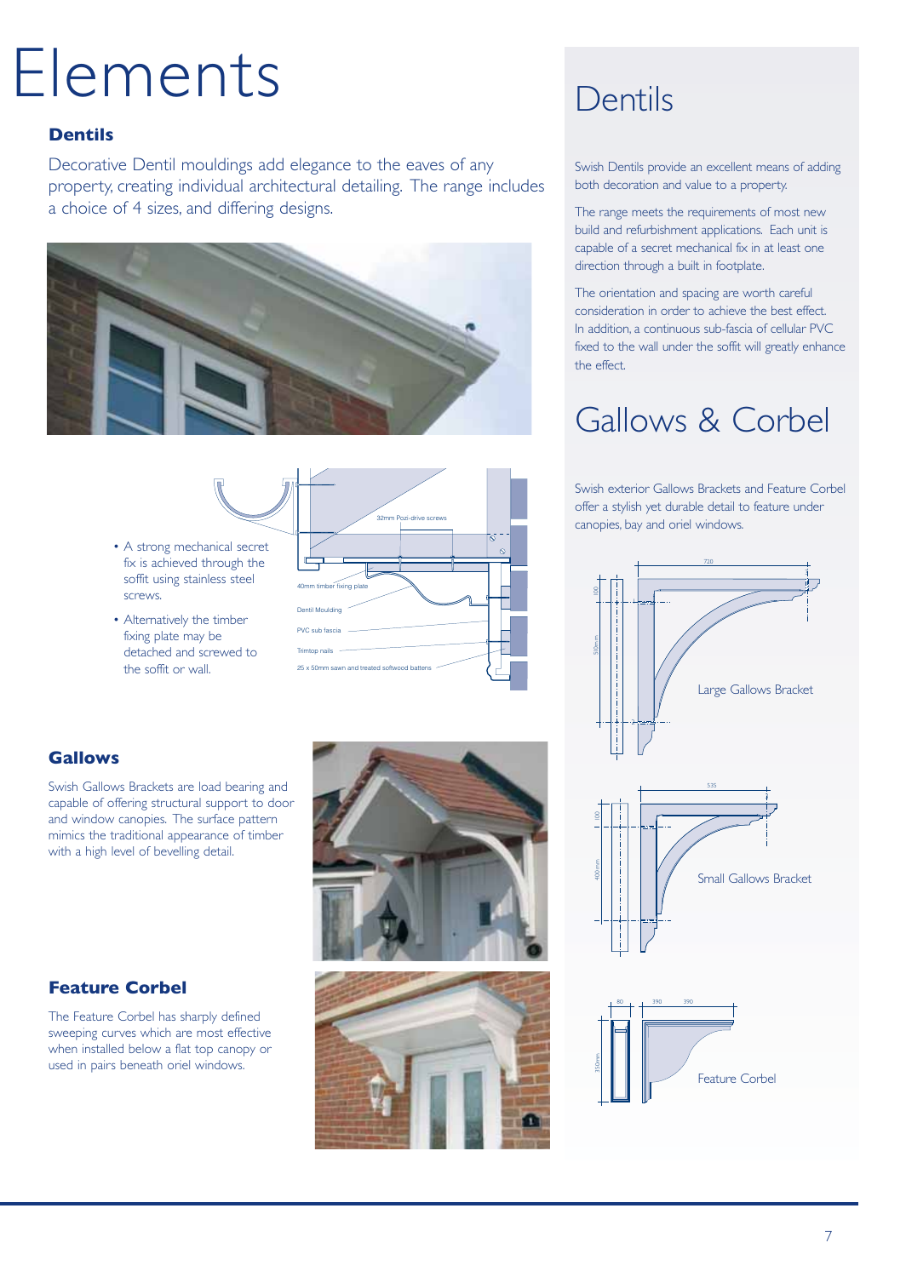## Elements

### **Dentils**

Decorative Dentil mouldings add elegance to the eaves of any property, creating individual architectural detailing. The range includes a choice of 4 sizes, and differing designs.





- A strong mechanical secret fix is achieved through the soffit using stainless steel screws.
- Alternatively the timber fixing plate may be detached and screwed to the soffit or wall.

Swish Gallows Brackets are load bearing and capable of offering structural support to door and window canopies. The surface pattern mimics the traditional appearance of timber with a high level of bevelling detail.

**Gallows** 

**Feature Corbel** 

The Feature Corbel has sharply defined sweeping curves which are most effective when installed below a flat top canopy or used in pairs beneath oriel windows.





## Dentils

Swish Dentils provide an excellent means of adding both decoration and value to a property.

The range meets the requirements of most new build and refurbishment applications. Each unit is capable of a secret mechanical fix in at least one direction through a built in footplate.

The orientation and spacing are worth careful consideration in order to achieve the best effect. In addition, a continuous sub-fascia of cellular PVC fixed to the wall under the soffit will greatly enhance the effect.

## Gallows & Corbel

Swish exterior Gallows Brackets and Feature Corbel offer a stylish yet durable detail to feature under canopies, bay and oriel windows.

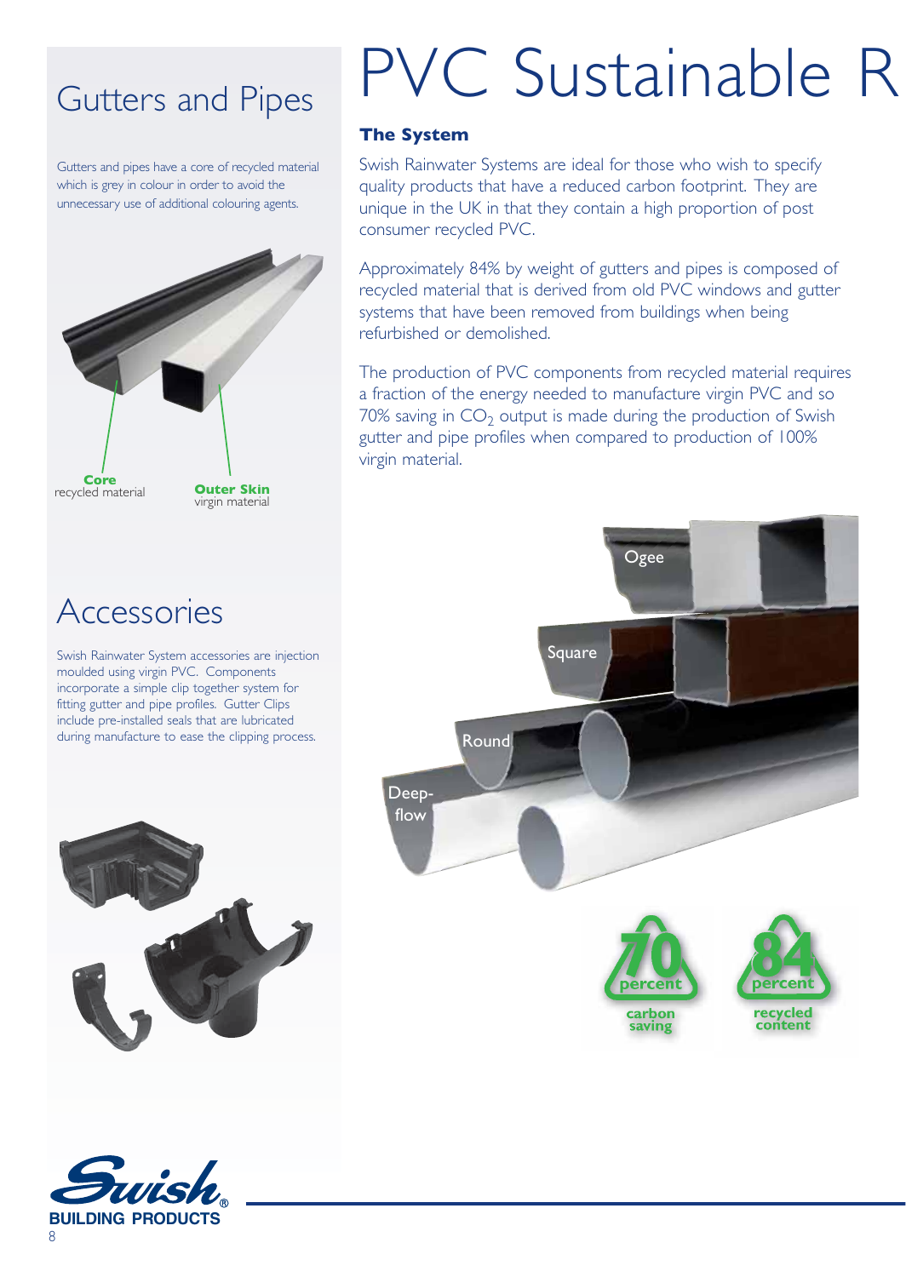## Gutters and Pipes

Gutters and pipes have a core of recycled material which is grey in colour in order to avoid the unnecessary use of additional colouring agents.



## **Accessories**

Swish Rainwater System accessories are injection moulded using virgin PVC. Components incorporate a simple clip together system for fitting gutter and pipe profiles. Gutter Clips include pre-installed seals that are lubricated during manufacture to ease the clipping process.





# PVC Sustainable R

### **The System**

Swish Rainwater Systems are ideal for those who wish to specify quality products that have a reduced carbon footprint. They are unique in the UK in that they contain a high proportion of post consumer recycled PVC.

Approximately 84% by weight of gutters and pipes is composed of recycled material that is derived from old PVC windows and gutter systems that have been removed from buildings when being refurbished or demolished.

The production of PVC components from recycled material requires a fraction of the energy needed to manufacture virgin PVC and so 70% saving in  $CO<sub>2</sub>$  output is made during the production of Swish gutter and pipe profiles when compared to production of 100% virgin material.

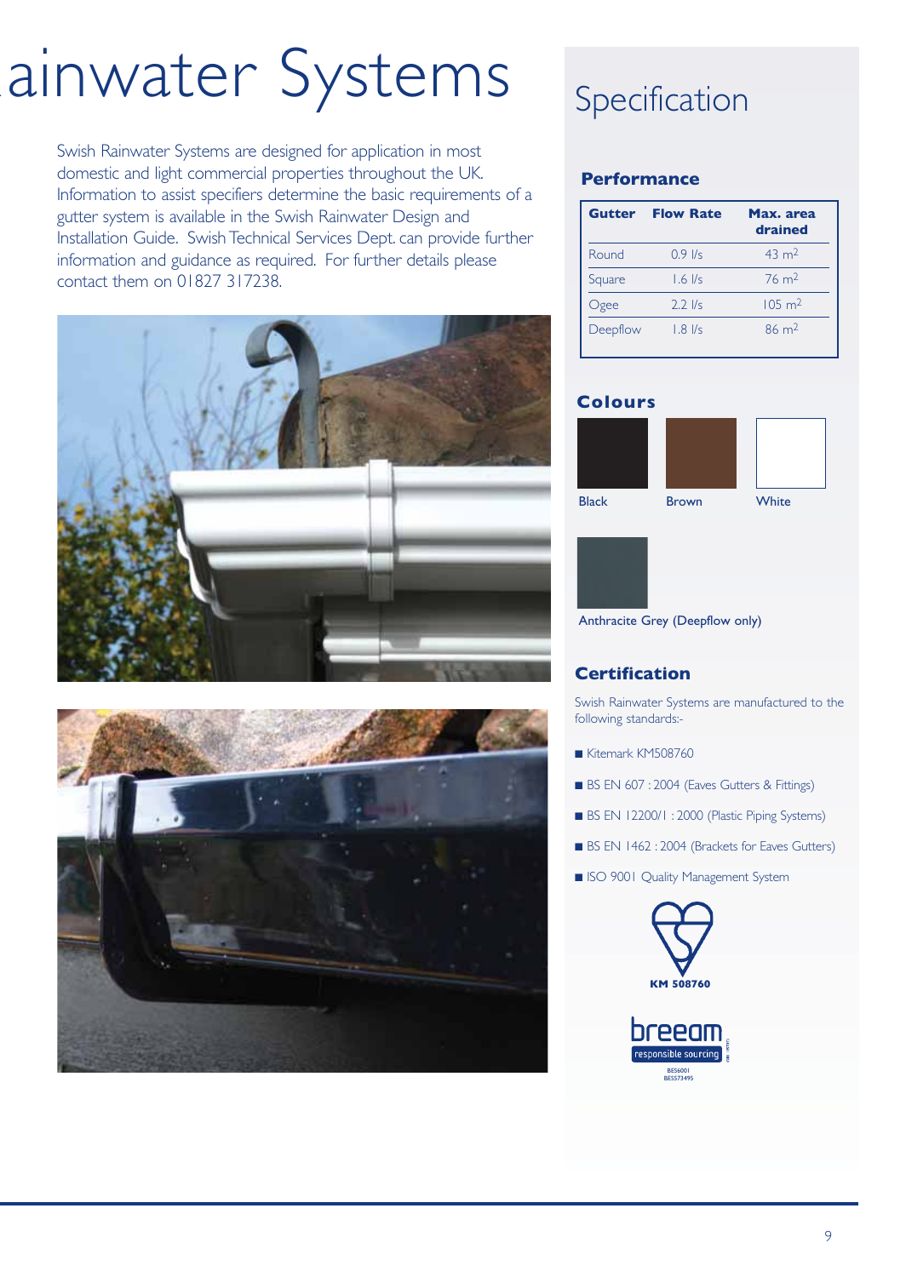## ainwater Systems

Swish Rainwater Systems are designed for application in most domestic and light commercial properties throughout the UK. Information to assist specifiers determine the basic requirements of a gutter system is available in the Swish Rainwater Design and Installation Guide. Swish Technical Services Dept. can provide further information and guidance as required. For further details please contact them on 01827 317238.





## Specification

### **Performance**

| Gutter   | <b>Flow Rate</b> | Max. area<br>drained |
|----------|------------------|----------------------|
| Round    | $0.9$ I/s        | $43 \text{ m}^2$     |
| Square   | $1.6$ I/s        | $76 \text{ m}^2$     |
| Ogee     | $2.2$ I/s        | $105 \text{ m}^2$    |
| Deepflow | $1.8$ $1/s$      | $86 \text{ m}^2$     |

### **Colours**





Anthracite Grey (Deepflow only)

## **Certification**

Swish Rainwater Systems are manufactured to the following standards:-

- Kitemark KM508760
- BS EN 607 : 2004 (Eaves Gutters & Fittings)
- BS EN 12200/1 : 2000 (Plastic Piping Systems)
- BS EN 1462 : 2004 (Brackets for Eaves Gutters)
- ISO 9001 Quality Management System



BES6001 BES573495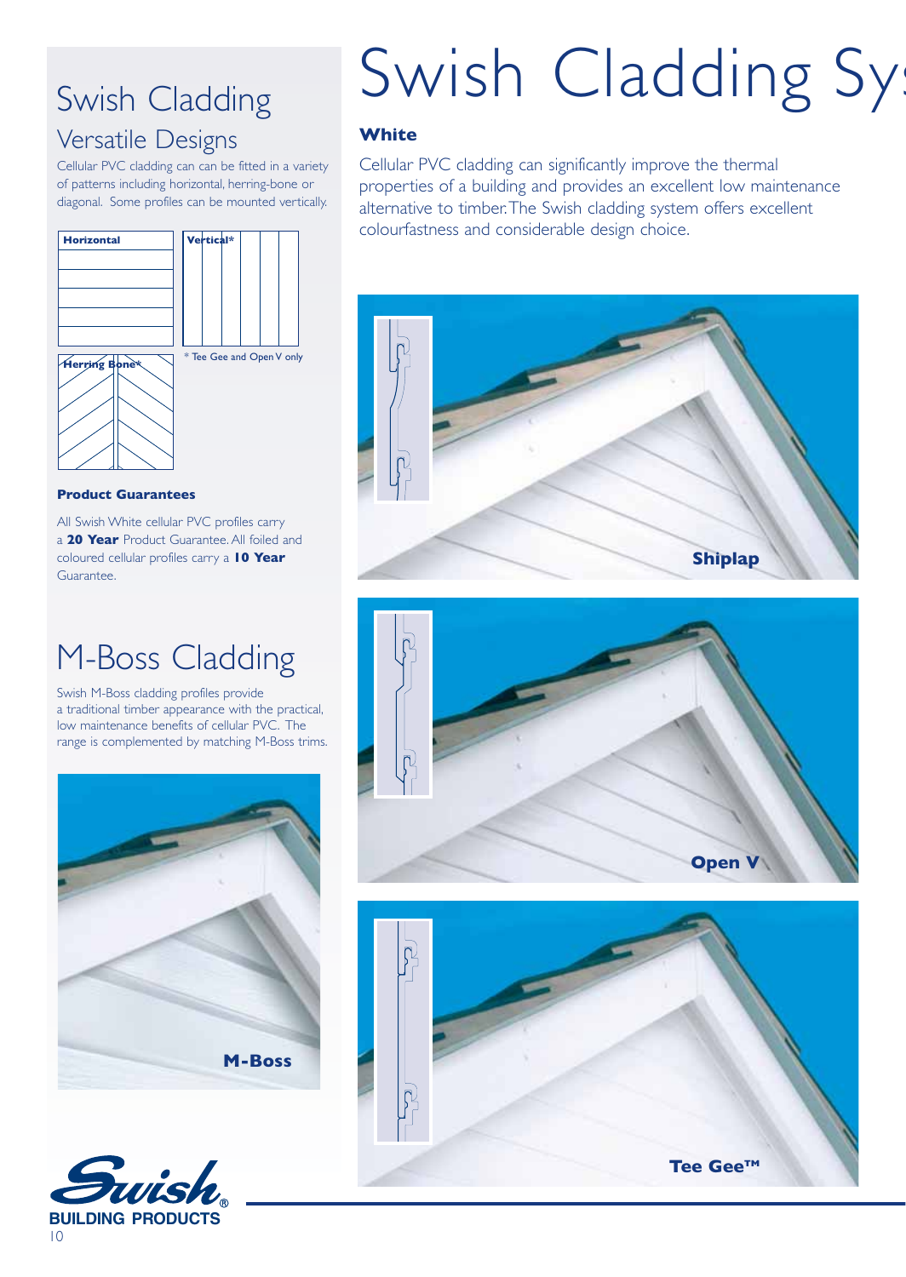## Swish Cladding

## Versatile Designs

Cellular PVC cladding can can be fitted in a variety of patterns including horizontal, herring-bone or diagonal. Some profiles can be mounted vertically.



#### **Product Guarantees**

All Swish White cellular PVC profiles carry a **20 Year** Product Guarantee. All foiled and coloured cellular profiles carry a **10 Year** Guarantee.

## M-Boss Cladding

Swish M-Boss cladding profiles provide a traditional timber appearance with the practical, low maintenance benefits of cellular PVC. The range is complemented by matching M-Boss trims.





# Swish Cladding Sys

### **White**

Cellular PVC cladding can significantly improve the thermal properties of a building and provides an excellent low maintenance alternative to timber. The Swish cladding system offers excellent colourfastness and considerable design choice.





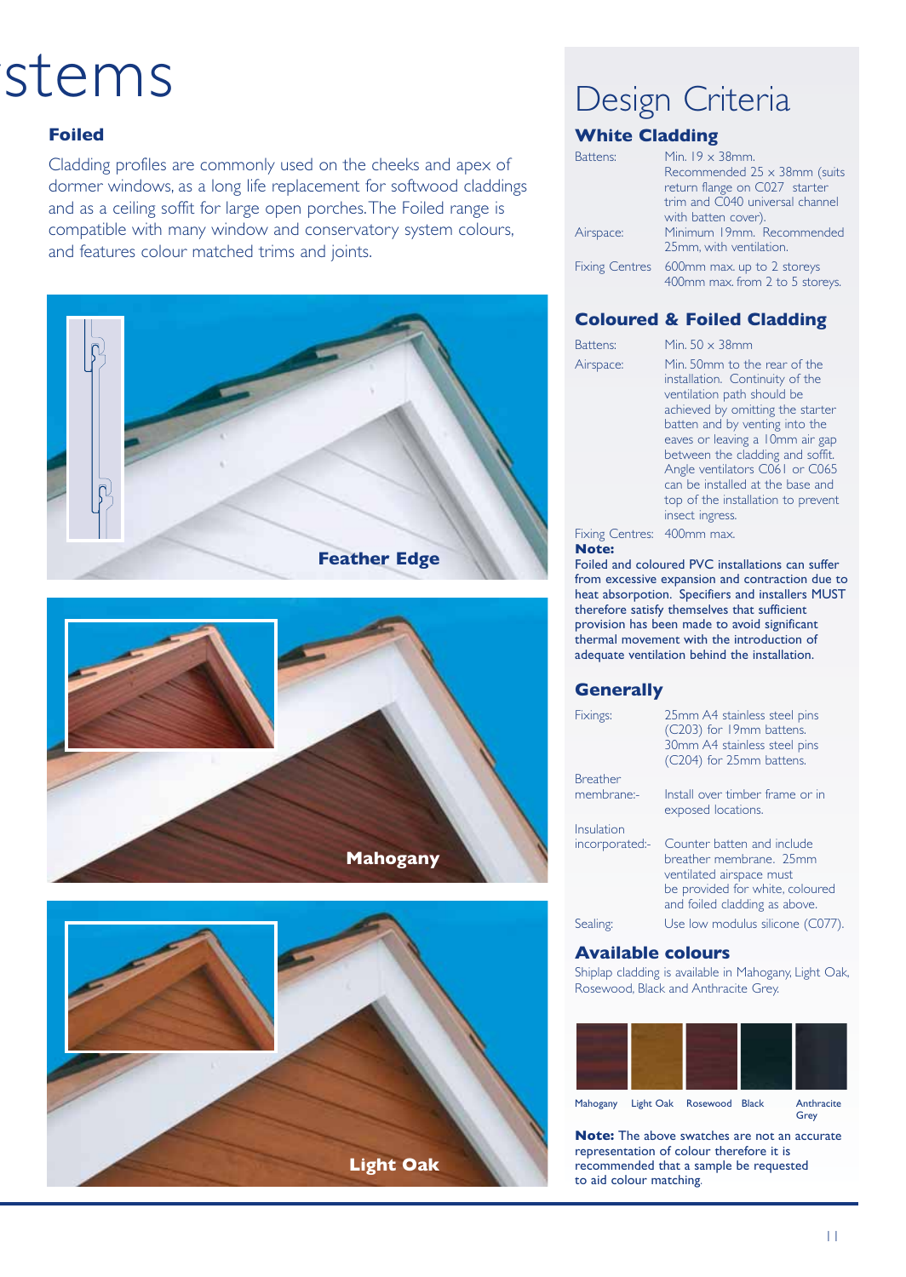## stems

#### **Foiled**

Cladding profiles are commonly used on the cheeks and apex of dormer windows, as a long life replacement for softwood claddings and as a ceiling soffit for large open porches. The Foiled range is compatible with many window and conservatory system colours, and features colour matched trims and joints.







## Design Criteria

## **White Cladding**

| Battens:  | Min. $19 \times 38$ mm.                                                      |  |
|-----------|------------------------------------------------------------------------------|--|
|           | Recommended $25 \times 38$ mm (suits                                         |  |
|           | return flange on C027 starter                                                |  |
|           | trim and C040 universal channel                                              |  |
|           | with batten cover).                                                          |  |
| Airspace: | Minimum 19mm. Recommended                                                    |  |
|           | 25mm, with ventilation.                                                      |  |
|           | Fixing Centres 600mm max. up to 2 storeys<br>400mm max. from 2 to 5 storeys. |  |

### **Coloured & Foiled Cladding**

Battens: Min. 50 x 38mm

Airspace: Min. 50mm to the rear of the installation. Continuity of the ventilation path should be achieved by omitting the starter batten and by venting into the eaves or leaving a 10mm air gap between the cladding and soffit. Angle ventilators C061 or C065 can be installed at the base and top of the installation to prevent insect ingress.

Fixing Centres: 400mm max. **Note:**

Foiled and coloured PVC installations can suffer from excessive expansion and contraction due to heat absorpotion. Specifiers and installers MUST therefore satisfy themselves that sufficient provision has been made to avoid significant thermal movement with the introduction of adequate ventilation behind the installation.

#### **Generally**

| Fixings:        | 25mm A4 stainless steel pins<br>(C203) for 19mm battens.<br>30mm A4 stainless steel pins<br>(C204) for 25mm battens. |
|-----------------|----------------------------------------------------------------------------------------------------------------------|
| <b>Breather</b> |                                                                                                                      |
| membrane:-      | Install over timber frame or in<br>exposed locations.                                                                |
| Insulation      |                                                                                                                      |
| incorporated:-  | Counter batten and include<br>breather membrane. 25mm<br>ventilated airspace must                                    |
|                 | be provided for white, coloured<br>and foiled cladding as above.                                                     |
| Sealing:        | Use low modulus silicone (C077).                                                                                     |
|                 |                                                                                                                      |

#### **Available colours**

Shiplap cladding is available in Mahogany, Light Oak, Rosewood, Black and Anthracite Grey.



**Note:** The above swatches are not an accurate representation of colour therefore it is recommended that a sample be requested to aid colour matching.